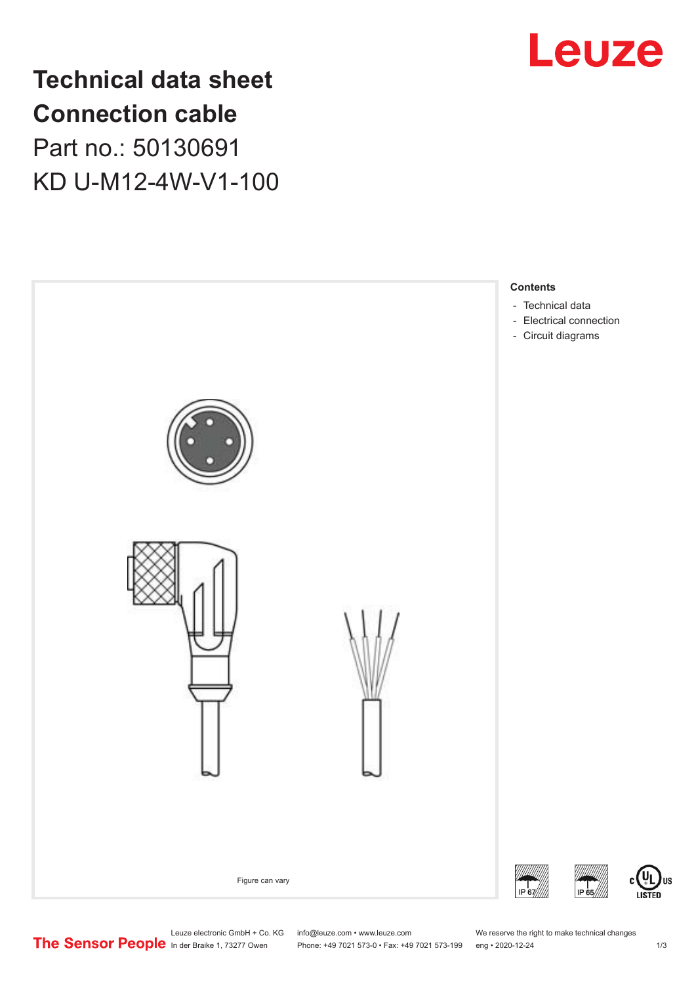

## **Technical data sheet Connection cable** Part no.: 50130691 KD U-M12-4W-V1-100



Leuze electronic GmbH + Co. KG info@leuze.com • www.leuze.com We reserve the right to make technical changes<br>
The Sensor People in der Braike 1, 73277 Owen Phone: +49 7021 573-0 • Fax: +49 7021 573-199 eng • 2020-12-24

Phone: +49 7021 573-0 • Fax: +49 7021 573-199 eng • 2020-12-24 1 2020-12-24

US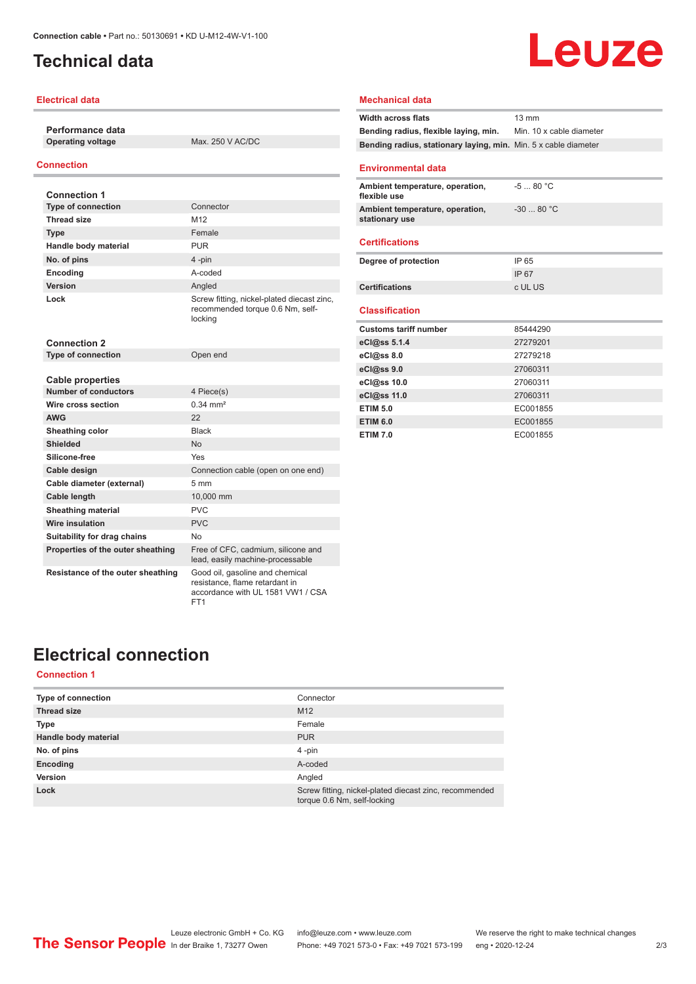## <span id="page-1-0"></span>**Technical data**

#### **Electrical data**

**Performance data Operating voltage** Max. 250 V AC/DC

#### **Connection**

| <b>Connection 1</b>               |                                                                                                        |
|-----------------------------------|--------------------------------------------------------------------------------------------------------|
| <b>Type of connection</b>         | Connector                                                                                              |
| <b>Thread size</b>                | M <sub>12</sub>                                                                                        |
| <b>Type</b>                       | Female                                                                                                 |
| Handle body material              | <b>PUR</b>                                                                                             |
| No. of pins                       | 4-pin                                                                                                  |
| Encoding                          | A-coded                                                                                                |
| Version                           | Angled                                                                                                 |
| Lock                              | Screw fitting, nickel-plated diecast zinc,<br>recommended torque 0.6 Nm, self-<br>locking              |
| <b>Connection 2</b>               |                                                                                                        |
| <b>Type of connection</b>         | Open end                                                                                               |
|                                   |                                                                                                        |
| <b>Cable properties</b>           |                                                                                                        |
| <b>Number of conductors</b>       | 4 Piece(s)                                                                                             |
| Wire cross section                | $0.34 \, \text{mm}^2$                                                                                  |
| <b>AWG</b>                        | 22                                                                                                     |
| <b>Sheathing color</b>            | <b>Black</b>                                                                                           |
| Shielded                          | <b>No</b>                                                                                              |
| Silicone-free                     | Yes                                                                                                    |
| Cable design                      | Connection cable (open on one end)                                                                     |
| Cable diameter (external)         | $5 \, \text{mm}$                                                                                       |
| <b>Cable length</b>               | 10,000 mm                                                                                              |
| <b>Sheathing material</b>         | <b>PVC</b>                                                                                             |
| Wire insulation                   | PVC                                                                                                    |
| Suitability for drag chains       | No                                                                                                     |
| Properties of the outer sheathing | Free of CFC, cadmium, silicone and<br>lead, easily machine-processable                                 |
| Resistance of the outer sheathing | Good oil, gasoline and chemical<br>resistance, flame retardant in<br>accordance with UL 1581 VW1 / CSA |

FT1

# Leuze

#### **Mechanical data**

| <b>Width across flats</b>                                       | $13 \text{ mm}$          |
|-----------------------------------------------------------------|--------------------------|
| Bending radius, flexible laying, min.                           | Min. 10 x cable diameter |
| Bending radius, stationary laying, min. Min. 5 x cable diameter |                          |
|                                                                 |                          |
| <b>Environmental data</b>                                       |                          |
| Ambient temperature, operation,<br>flexible use                 | $-580 °C$                |
| Ambient temperature, operation,<br>stationary use               | $-3080 °C$               |
| <b>Certifications</b>                                           |                          |
| Degree of protection                                            | IP 65                    |
|                                                                 | IP 67                    |
| <b>Certifications</b>                                           | c UL US                  |
| <b>Classification</b>                                           |                          |
|                                                                 |                          |
| <b>Customs tariff number</b>                                    | 85444290                 |
| eCl@ss 5.1.4                                                    | 27279201                 |
| eCl@ss 8.0                                                      | 27279218                 |
| eCl@ss 9.0                                                      | 27060311                 |
| eCl@ss 10.0                                                     | 27060311                 |
| eCl@ss 11.0                                                     | 27060311                 |
| <b>ETIM 5.0</b>                                                 | EC001855                 |
| <b>ETIM 6.0</b>                                                 | EC001855                 |
| <b>ETIM 7.0</b>                                                 | EC001855                 |

## **Electrical connection**

### **Connection 1**

| <b>Type of connection</b> | Connector                                                                             |
|---------------------------|---------------------------------------------------------------------------------------|
| <b>Thread size</b>        | M <sub>12</sub>                                                                       |
| <b>Type</b>               | Female                                                                                |
| Handle body material      | <b>PUR</b>                                                                            |
| No. of pins               | $4 - pin$                                                                             |
| Encoding                  | A-coded                                                                               |
| Version                   | Angled                                                                                |
| Lock                      | Screw fitting, nickel-plated diecast zinc, recommended<br>torque 0.6 Nm, self-locking |